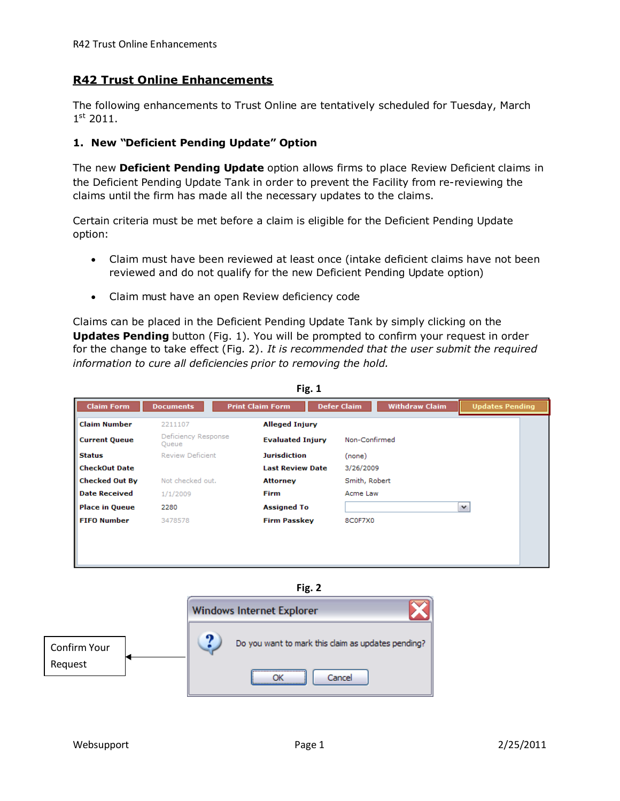## **R42 Trust Online Enhancements**

The following enhancements to Trust Online are tentatively scheduled for Tuesday, March 1 st 2011.

## **1. New "Deficient Pending Update" Option**

The new **Deficient Pending Update** option allows firms to place Review Deficient claims in the Deficient Pending Update Tank in order to prevent the Facility from re-reviewing the claims until the firm has made all the necessary updates to the claims.

Certain criteria must be met before a claim is eligible for the Deficient Pending Update option:

- Claim must have been reviewed at least once (intake deficient claims have not been reviewed and do not qualify for the new Deficient Pending Update option)
- Claim must have an open Review deficiency code

Claims can be placed in the Deficient Pending Update Tank by simply clicking on the **Updates Pending** button (Fig. 1). You will be prompted to confirm your request in order for the change to take effect (Fig. 2). *It is recommended that the user submit the required information to cure all deficiencies prior to removing the hold.*

|                       | <b>Documents</b>             | <b>Print Claim Form</b> | <b>Defer Claim</b><br><b>Withdraw Claim</b> | <b>Updates Pending</b> |
|-----------------------|------------------------------|-------------------------|---------------------------------------------|------------------------|
| <b>Claim Number</b>   | 2211107                      | <b>Alleged Injury</b>   |                                             |                        |
| <b>Current Queue</b>  | Deficiency Response<br>Queue | <b>Evaluated Injury</b> | Non-Confirmed                               |                        |
| <b>Status</b>         | <b>Review Deficient</b>      | <b>Jurisdiction</b>     | (none)                                      |                        |
| <b>CheckOut Date</b>  |                              | <b>Last Review Date</b> | 3/26/2009                                   |                        |
| <b>Checked Out By</b> | Not checked out.             | Attorney                | Smith, Robert                               |                        |
| <b>Date Received</b>  | 1/1/2009                     | <b>Firm</b>             | Acme Law                                    |                        |
| <b>Place in Queue</b> | 2280                         | <b>Assigned To</b>      |                                             | $\checkmark$           |
| <b>FIFO Number</b>    | 3478578                      | <b>Firm Passkey</b>     | 8C0F7X0                                     |                        |

**Fig. 1**

**Fig. 2**

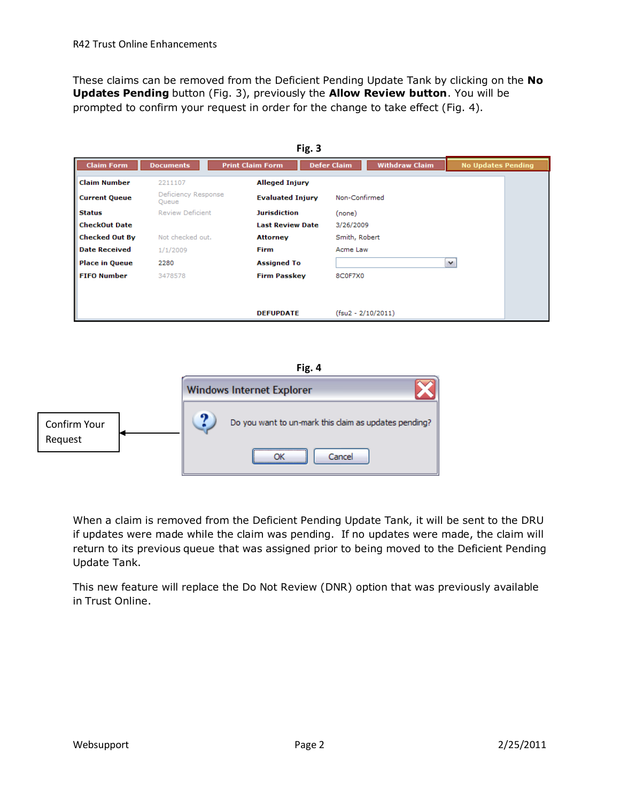These claims can be removed from the Deficient Pending Update Tank by clicking on the **No Updates Pending** button (Fig. 3), previously the **Allow Review button**. You will be prompted to confirm your request in order for the change to take effect (Fig. 4).

| Fig. 3                |                              |                         |                    |                       |                           |  |  |  |
|-----------------------|------------------------------|-------------------------|--------------------|-----------------------|---------------------------|--|--|--|
| <b>Claim Form</b>     | <b>Documents</b>             | <b>Print Claim Form</b> | <b>Defer Claim</b> | <b>Withdraw Claim</b> | <b>No Updates Pending</b> |  |  |  |
| <b>Claim Number</b>   | 2211107                      | <b>Alleged Injury</b>   |                    |                       |                           |  |  |  |
| <b>Current Queue</b>  | Deficiency Response<br>Queue | <b>Evaluated Injury</b> | Non-Confirmed      |                       |                           |  |  |  |
| <b>Status</b>         | <b>Review Deficient</b>      | <b>Jurisdiction</b>     | (none)             |                       |                           |  |  |  |
| <b>CheckOut Date</b>  |                              | <b>Last Review Date</b> | 3/26/2009          |                       |                           |  |  |  |
| <b>Checked Out By</b> | Not checked out.             | <b>Attorney</b>         | Smith, Robert      |                       |                           |  |  |  |
| <b>Date Received</b>  | 1/1/2009                     | <b>Firm</b>             | Acme Law           |                       |                           |  |  |  |
| <b>Place in Queue</b> | 2280                         | <b>Assigned To</b>      |                    |                       | v                         |  |  |  |
| <b>FIFO Number</b>    | 3478578                      | <b>Firm Passkey</b>     | 8C0F7X0            |                       |                           |  |  |  |
|                       |                              |                         |                    |                       |                           |  |  |  |
|                       |                              |                         |                    |                       |                           |  |  |  |
|                       |                              | <b>DEFUPDATE</b>        |                    | $(fsu2 - 2/10/2011)$  |                           |  |  |  |

## **Fig. 4**



When a claim is removed from the Deficient Pending Update Tank, it will be sent to the DRU if updates were made while the claim was pending. If no updates were made, the claim will return to its previous queue that was assigned prior to being moved to the Deficient Pending Update Tank.

This new feature will replace the Do Not Review (DNR) option that was previously available in Trust Online.